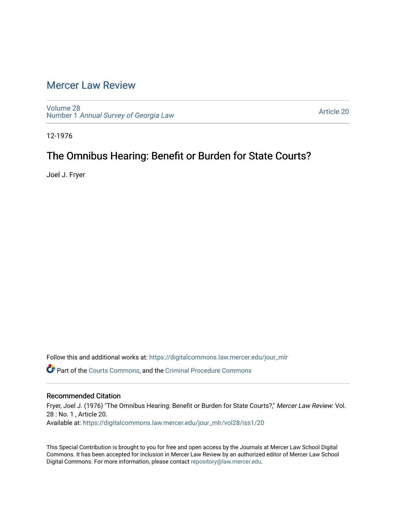### [Mercer Law Review](https://digitalcommons.law.mercer.edu/jour_mlr)

[Volume 28](https://digitalcommons.law.mercer.edu/jour_mlr/vol28) Number 1 [Annual Survey of Georgia Law](https://digitalcommons.law.mercer.edu/jour_mlr/vol28/iss1) 

[Article 20](https://digitalcommons.law.mercer.edu/jour_mlr/vol28/iss1/20) 

12-1976

## The Omnibus Hearing: Benefit or Burden for State Courts?

Joel J. Fryer

Follow this and additional works at: [https://digitalcommons.law.mercer.edu/jour\\_mlr](https://digitalcommons.law.mercer.edu/jour_mlr?utm_source=digitalcommons.law.mercer.edu%2Fjour_mlr%2Fvol28%2Fiss1%2F20&utm_medium=PDF&utm_campaign=PDFCoverPages)

Part of the [Courts Commons,](http://network.bepress.com/hgg/discipline/839?utm_source=digitalcommons.law.mercer.edu%2Fjour_mlr%2Fvol28%2Fiss1%2F20&utm_medium=PDF&utm_campaign=PDFCoverPages) and the [Criminal Procedure Commons](http://network.bepress.com/hgg/discipline/1073?utm_source=digitalcommons.law.mercer.edu%2Fjour_mlr%2Fvol28%2Fiss1%2F20&utm_medium=PDF&utm_campaign=PDFCoverPages)

### Recommended Citation

Fryer, Joel J. (1976) "The Omnibus Hearing: Benefit or Burden for State Courts?," Mercer Law Review: Vol. 28 : No. 1 , Article 20. Available at: [https://digitalcommons.law.mercer.edu/jour\\_mlr/vol28/iss1/20](https://digitalcommons.law.mercer.edu/jour_mlr/vol28/iss1/20?utm_source=digitalcommons.law.mercer.edu%2Fjour_mlr%2Fvol28%2Fiss1%2F20&utm_medium=PDF&utm_campaign=PDFCoverPages) 

This Special Contribution is brought to you for free and open access by the Journals at Mercer Law School Digital Commons. It has been accepted for inclusion in Mercer Law Review by an authorized editor of Mercer Law School Digital Commons. For more information, please contact [repository@law.mercer.edu](mailto:repository@law.mercer.edu).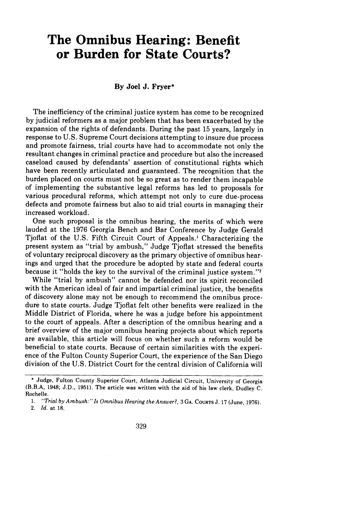# **The Omnibus Hearing: Benefit or Burden for State Courts?**

#### **By** Joel **J.** Fryer\*

The inefficiency of the criminal justice system has come to be recognized by judicial reformers as a major problem that has been exacerbated by the expansion of the rights of defendants. During the past 15 years, largely in response to U.S. Supreme Court decisions attempting to insure due process and promote fairness, trial courts have had to accommodate not only the resultant changes in criminal practice and procedure but also the increased caseload caused by defendants' assertion of constitutional rights which have been recently articulated and guaranteed. The recognition that the burden placed on courts must not be so great as to render them incapable of implementing the substantive legal reforms has led to proposals for various procedural reforms, which attempt not only to cure due-process defects and promote fairness but also to aid trial courts in managing their increased workload.

One such proposal is the omnibus hearing, the merits of which were lauded at the 1976 Georgia Bench and Bar Conference by Judge Gerald Tjoflat of the U.S. Fifth Circuit Court of Appeals.' Characterizing the present system as "trial by ambush," Judge Tjoflat stressed the benefits of voluntary reciprocal discovery as the primary objective of omnibus hearings and urged that the procedure be adopted by state and federal courts because it "holds the key to the survival of the criminal justice system."<sup>2</sup>

While "trial by ambush" cannot be defended nor its spirit reconciled with the American ideal of fair and impartial criminal justice, the benefits of discovery alone may not be enough to recommend the omnibus procedure to state courts. Judge Tjoflat felt other benefits were realized in the Middle District of Florida, where he was a judge before his appointment to the court of appeals. After a description of the omnibus hearing and a brief overview of the major omnibus hearing projects about which reports are available, this article will focus on whether such a reform would be beneficial to state courts. Because of certain similarities with the experience of the Fulton County Superior Court, the experience of the San Diego division of the U.S. District Court for the central division of California will

<sup>\*</sup> Judge, Fulton County Superior Court, Atlanta Judicial Circuit, University of Georgia (B.B.A, 1948; J.D., 1951). The article was written with the aid of his law clerk, Dudley C. Rochelle.

*<sup>1. &</sup>quot;Trial by Ambush:" Is Omnibus Hearing the Answer?,* 3 **GA. COURTS** J. 17 (June, 1976). 2. *Id.* at 18.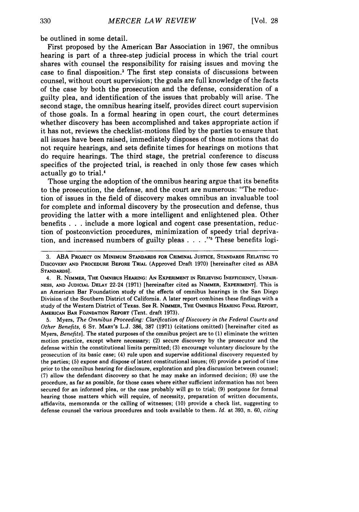be outlined in some detail.

First proposed by the American Bar Association in 1967, the omnibus hearing is part of a three-step judicial process in which the trial court shares with counsel the responsibility for raising issues and moving the case to final disposition.3 The first step consists of discussions between counsel, without court supervision; the goals are full knowledge of the facts of the case by both the prosecution and the defense, consideration of a guilty plea, and identification of the issues that probably will arise. The second stage, the omnibus hearing itself, provides direct court supervision of those goals. In a formal hearing in open court, the court determines whether discovery has been accomplished and takes appropriate action if it has not, reviews the checklist-motions filed by the parties to ensure that all issues have been raised, immediately disposes of those motions that do not require hearings, and sets definite times for hearings on motions that do require hearings. The third stage, the pretrial conference to discuss specifics of the projected trial, is reached in only those few cases which actually go to trial.4

Those urging the adoption of the omnibus hearing argue that its benefits to the prosecution, the defense, and the court are numerous: "The reduction of issues in the field of discovery makes omnibus an invaluable tool for complete and informal discovery by the prosecution and defense, thus providing the latter with a more intelligent and enlightened plea. Other benefits . . .include a more logical and cogent case presentation, reduction of postconviction procedures, minimization of speedy trial deprivation, and increased numbers of guilty pleas . . . .<sup>"</sup> These benefits logi-

4. R. **NIMMER, THE OMNIBUS HEARING: AN EXPERIMENT IN RELIEVING INEFFICIENCY, UNFAIR-NESS, AND JUDICIAL DELAY** 22-24 **(1971)** [hereinafter cited as **NIMMER, EXPERIMENT].** This is an American Bar Foundation study of the effects of omnibus hearings in the San Diego Division of the Southern District of California. **A** later report combines these findings with a study of the Western District of Texas. See R. **NIMMER,** THE **OMNIBUS HEARING FINAL REPORT,** AMERICAN **BAR FOJNDATION** REPORT (Tent. draft **1973).**

**5.** Myers, *The Omnibus Proceeding: Clarification of Discovery in the Federal Courts and Other Benefits,* 6 ST. MARY'S L.J. **386, 387 (1971)** (citations omitted) [hereinafter cited as Myers, *Benefits].* The stated purposes of the omnibus project are to **(1)** eliminate the written motion practice, except where necessary; (2) secure discovery by the prosecutor and the defense within the constitutional limits permitted; **(3)** encourage voluntary disclosure by the prosecution of its basic case; (4) rule upon and supervise additional discovery requested by the parties; (5) expose and dispose of latent constitutional issues; **(6)** provide a period of time prior to the omnibus hearing for disclosure, exploration and plea discussion between counsel; **(7)** allow the defendant discovery so that he may make an informed decision; **(8)** use the procedure, as far as possible, for those cases where either sufficient information has not been secured for an informed plea, or the case probably will go to trial; **(9)** postpone for formal hearing those matters which will require, of necessity, preparation of written documents, affidavits, memoranda or the calling of witnesses; (10) provide a check list, suggesting to defense counsel the various procedures and tools available to them. *Id.* at **393,** n. 60, *citing*

**<sup>3.</sup> ABA PROJECT ON MINIMUM STANDARDS FOR CRIMINAL JUSTICE, STANDARDS RELATING** TO **DISCOVERY AND PROCEDURE BEFORE TRIAL** (Approved Draft **1970)** [hereinafter cited as **ABA STANDARDS].**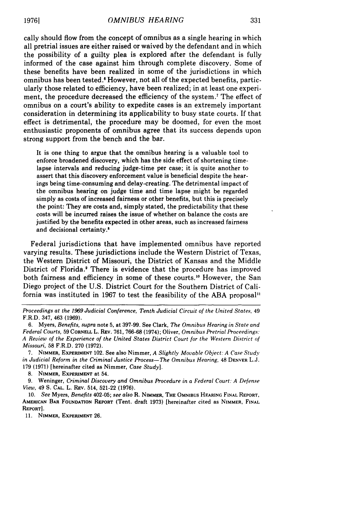cally should flow from the concept of omnibus as a single hearing in which all pretrial issues are either raised or waived by the defendant and in which the possibility of a guilty plea is explored after the defendant is fully informed of the case against him through complete discovery. Some of these benefits have been realized in some of the jurisdictions in which omnibus has been tested.' However, not all of the expected benefits, particularly those related to efficiency, have been realized; in at least one experiment, the procedure decreased the efficiency of the system.<sup>7</sup> The effect of omnibus on a court's ability to expedite cases is an extremely important consideration in determining its applicability to busy state courts. If that effect is detrimental, the procedure may be doomed, for even the most enthusiastic proponents of omnibus agree that its success depends upon strong support from the bench and the bar.

It is one thing to argue that the omnibus hearing is a valuable tool to enforce broadened discovery, which has the side effect of shortening timelapse intervals and reducing judge-time per case; it is quite another to assert that this discovery enforcement value is beneficial despite the hearings being time-consuming and delay-creating. The detrimental impact of the omnibus hearing on judge time and time lapse might be regarded simply as costs of increased fairness or other benefits, but this is precisely the point: They are costs and, simply stated, the predictability that these costs will be incurred raises the issue of whether on balance the costs are justified by the benefits expected in other areas, such as increased fairness and decisional certainty.'

Federal jurisdictions that have implemented omnibus have reported varying results. These jurisdictions include the Western District of Texas, the Western District of Missouri, the District of Kansas and the Middle District of Florida.' There is evidence that the procedure has improved both fairness and efficiency in some of these courts.<sup>10</sup> However, the San Diego project of the U.S. District Court for the Southern District of California was instituted in 1967 to test the feasibility of the ABA proposal"

*Proceedings at the 1969 Judicial Conference, Tenth Judicial Circuit of the United States,* <sup>49</sup> F.R.D. 347, 463 (1969).

6. Myers, *Benefits, supra* note 5, at 397-99. See Clark, *The Omnibus Hearing in State and Federal Courts,* 59 CORNELL L. REV. 761, 766-68 (1974); Oliver, *Omnibus Pretrial Proceedings: A Review of the Experience of the United States District Court for the Western District of Missouri,* 58 F.R.D. 270 (1972).

7. NIMMER, EXPERIMENT 102. See also Nimmer, *A Slightly Movable Object: A Case Study in Judicial Reform in the Criminal Justice Process—The Omnibus Hearing,* 48 DENVER L.J. 179 (1971) [hereinafter cited as Nimmer, *Case Study].*

8. NIMMER, EXPERIMENT at 54.

**9.** Weninger, *Criminal Discovery and Omnibus Procedure in a Federal Court: A Defense View,* 49 S. **CAL.** L. REV. 514, **521-22** (1976).

10. *See* Myers, *Benefits* 402-05; *see also* R. **NIMMER,** THE OMNIBUS HEARING **FINAL** REPORT, AMERICAN BAR FOUNDATION REPORT (Tent. draft **1973)** [hereinafter cited as NIMMER, **FINAL** REPORT].

**11.** NIMMER, **EXPERIMENT 26.**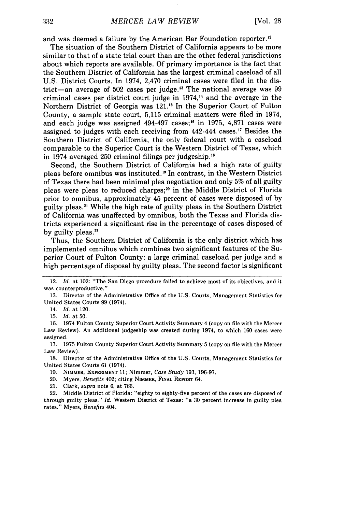and was deemed a failure by the American Bar Foundation reporter.12

The situation of the Southern District of California appears to be more similar to that of a state trial court than are the other federal jurisdictions about which reports are available. Of primary importance is the fact that the Southern District of California has the largest criminal caseload of all U.S. District Courts. In 1974, 2,470 criminal cases were filed in the district—an average of 502 cases per judge.<sup>13</sup> The national average was 99 criminal cases per district court judge in  $1974$ ,<sup>14</sup> and the average in the Northern District of Georgia was 121.<sup>15</sup> In the Superior Court of Fulton County, a sample state court, 5,115 criminal matters were filed in 1974, and each judge was assigned 494-497 cases; 16 in 1975, 4,871 cases were assigned to judges with each receiving from 442-444 cases.'7 Besides the Southern District of California, the only federal court with a caseload comparable to the Superior Court is the Western District of Texas, which in 1974 averaged 250 criminal filings per judgeship."

Second, the Southern District of California had a high rate of guilty pleas before omnibus was instituted.<sup>19</sup> In contrast, in the Western District of Texas there had been minimal plea negotiation and only 5% of all guilty pleas were pleas to reduced charges; $20$  in the Middle District of Florida prior to omnibus, approximately 45 percent of cases were disposed of by guilty pleas.<sup>21</sup> While the high rate of guilty pleas in the Southern District of California was unaffected by omnibus, both the Texas and Florida districts experienced a significant rise in the percentage of cases disposed of by guilty pleas.<sup>22</sup>

Thus, the Southern District of California is the only district which has implemented omnibus which combines two significant features of the Superior Court of Fulton County: a large criminal caseload per judge and a high percentage of disposal by guilty pleas. The second factor is significant

18. Director of the Administrative Office of the U.S. Courts, Management Statistics for United States Courts 61 (1974).

19. NIMMER, **EXPERIMENT** 11; Nimmer, *Case Study* 193, 196-97.

20. Myers, *Benefits* 402; citing NIMMER, **FINAL** REPORT 64.

21. Clark, supra note 6, at 766.

<sup>12.</sup> *Id.* at 102: "The San Diego procedure failed to achieve most of its objectives, and it was counterproductive."

<sup>13.</sup> Director of the Administrative Office of the U.S. Courts, Management Statistics for United States Courts 99 (1974).

<sup>14.</sup> *Id.* at 120.

<sup>15.</sup> *Id.* at 50.

<sup>16. 1974</sup> Fulton County Superior Court Activity Summary 4 (copy on file with the Mercer Law Review). An additional judgeship was created during 1974, to which 160 cases were assigned.

<sup>17. 1975</sup> Fulton County Superior Court Activity Summary 5 (copy on file with the Mercer Law Review).

<sup>22.</sup> Middle District of Florida: "eighty to eighty-five percent of the cases are disposed of through guilty pleas." *Id.* Western District of Texas: "a 30 percent increase in guilty plea rates." Myers, *Benefits* 404.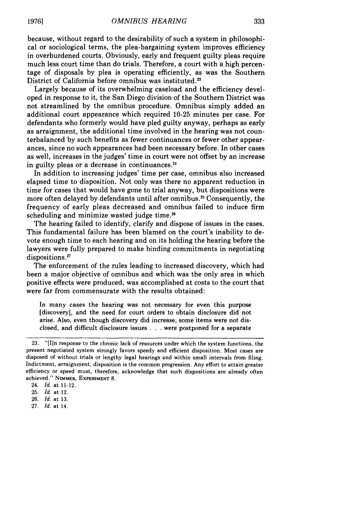because, without regard to the desirability of such a system in philosophical or sociological terms, the plea-bargaining system improves efficiency in overburdened courts. Obviously, early and frequent guilty pleas require much less court time than do trials. Therefore, a court with a high percentage of disposals by plea is operating efficiently, as was the Southern District of California before omnibus was instituted.<sup>23</sup>

Largely because of its overwhelming caseload and the efficiency developed in response to it, the San Diego division of the Southern District was not streamlined by the omnibus procedure. Omnibus simply added an additional court appearance which required 10-25 minutes per case. For defendants who formerly would have pled guilty anyway, perhaps as early as arraignment, the additional time involved in the hearing was not counterbalanced by such benefits as fewer continuances or fewer other appearances, since no such appearances had been necessary before. In other cases as well, increases in the judges' time in court were not offset by an increase in guilty pleas or a decrease in continuances. <sup>24</sup>

In addition to increasing judges' time per case, omnibus also increased elapsed time to disposition. Not only was there no apparent reduction in time for cases that would have gone to trial anyway, but dispositions were more often delayed by defendants until after omnibus.<sup>25</sup> Consequently, the frequency of early pleas decreased and omnibus failed to induce firm scheduling and minimize wasted judge time.<sup>26</sup>

The hearing failed to identify, clarify and dispose of issues in the cases. This fundamental failure has been blamed on the court's inability to devote enough time to each hearing and on its holding the hearing before the lawyers were fully prepared to make binding commitments in negotiating dispositions.<sup>27</sup>

The enforcement of the rules leading to increased discovery, which had been a major objective of omnibus and which was the only area in which positive effects were produced, was accomplished at costs to the court that were far from commensurate with the results obtained:

In many cases the hearing was not necessary for even this purpose [discovery], and the need for court orders to obtain disclosure did not arise. Also, even though discovery did increase, some items were not disclosed, and difficult disclosure issues . . . were postponed for a separate

<sup>23. &</sup>quot;[I]n response to the chronic lack of resources under which the system functions, the present negotiated system strongly favors speedy and efficient disposition. Most cases are disposed of without trials or lengthy legal hearings and within small intervals from filing. Indictment, arraignment, disposition is the common progression. Any effort to attain greater efficiency or speed must, therefore, acknowledge that such dispositions are already often achieved." **NIMMER, EXPERIMENT 8.**

<sup>24.</sup> *Id.* at 11-12.

**<sup>25.</sup>** *Id.* at 12.

**<sup>26.</sup>** *Id.* at **13.**

**<sup>27.</sup>** *Id.* at 14.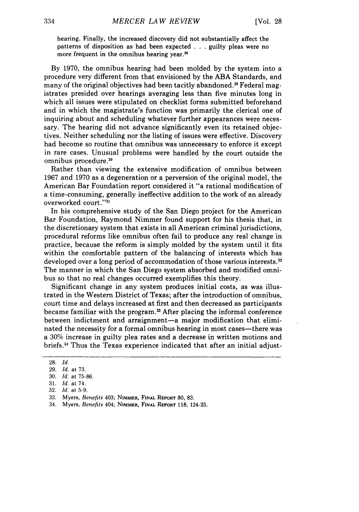hearing. Finally, the increased discovery did not substantially affect the patterns of disposition as had been expected . . .guilty pleas were no more frequent in the omnibus hearing year.<sup>26</sup>

By 1970, the omnibus hearing had been molded by the system into a procedure very different from that envisioned by the ABA Standards, and many of the original objectives had been tacitly abandoned. 9 Federal magistrates presided over hearings averaging less than five minutes long in which all issues were stipulated on checklist forms submitted beforehand and in which the magistrate's function was primarily the clerical one of inquiring about and scheduling whatever further appearances were necessary. The hearing did not advance significantly even its retained objectives. Neither scheduling nor the listing of issues were effective. Discovery had become so routine that omnibus was unnecessary to enforce it except in rare cases. Unusual problems were handled by the court outside the omnibus procedure.<sup>30</sup>

Rather than viewing the extensive modification of omnibus between 1967 and 1970 as a degeneration or a perversion of the original model, the American Bar Foundation report considered it "a rational modification of a time-consuming, generally ineffective addition to the work of an already overworked court."31

In his comprehensive study of the San Diego project for the American Bar Foundation, Raymond Nimmer found support for his thesis that, in the discretionary system that exists in all American criminal jurisdictions, procedural reforms like omnibus often fail to produce any real change in practice, because the reform is simply molded by the system until it fits within the comfortable pattern of the balancing of interests which has developed over a long period of accommodation of those various interests.<sup>32</sup> The manner in which the San Diego system absorbed and modified omnibus so that no real changes occurred exemplifies this theory.

Significant change in any system produces initial costs, as was illustrated in the Western District of Texas; after the introduction of omnibus, court time and delays increased at first and then decreased as participants became familiar with the program.<sup>33</sup> After placing the informal conference between indictment and arraignment-a major modification that eliminated the necessity for a formal omnibus hearing in most cases—there was a **30%** increase in guilty plea rates and a decrease in written motions and briefs. 3 Thus the Texas experience indicated that after an initial adjust-

<sup>28.</sup> *Id.*

<sup>29.</sup> *Id.* at 73.

<sup>30.</sup> *Id.* at 75-86.

<sup>31.</sup> *Id.* at 74.

<sup>32.</sup> *Id.* at 5-9.

<sup>33.</sup> Myers, *Benefits* 403; **NIMMER, FINAL** REPORT **80, 83.**

<sup>34.</sup> Myers, *Benefits* 404; NIMMER, **FINAL** REPORT 118, 124-25.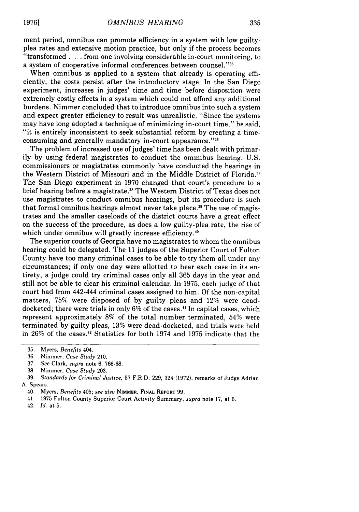ment period, omnibus can promote efficiency in a system with low guiltyplea rates and extensive motion practice, but only if the process becomes "transformed **. .** . from one involving considerable in-court monitoring, to a system of cooperative informal conferences between counsel."35

When omnibus is applied to a system that already is operating efficiently, the costs persist after the introductory stage. In the San Diego experiment, increases in judges' time and time before disposition were extremely costly effects in a system which could not afford any additional burdens. Nimmer concluded that to introduce omnibus into such a system and expect greater efficiency to result was unrealistic. "Since the systems may have long adopted a technique of minimizing in-court time," he said, "it is entirely inconsistent to seek substantial reform by creating a timeconsuming and generally mandatory in-court appearance."<sup>3</sup>

The problem of increased use of judges' time has been dealt with primarily by using federal magistrates to conduct the ommibus hearing. U.S. commissioners or magistrates commonly have conducted the hearings in the Western District of Missouri and in the Middle District of Florida.<sup>37</sup> The San Diego experiment in 1970 changed that court's procedure to a brief hearing before a magistrate. 38 The Western District of Texas does not use magistrates to conduct omnibus hearings, but its procedure is such that formal omnibus hearings almost never take place.<sup>39</sup> The use of magistrates and the smaller caseloads of the district courts have a great effect on the success of the procedure, as does a low guilty-plea rate, the rise of which under omnibus will greatly increase efficiency.<sup>40</sup>

The superior courts of Georgia have no magistrates to whom the omnibus hearing could be delegated. The 11 judges of the Superior Court of Fulton County have too many criminal cases to be able to try them all under any circumstances; if only one day were allotted to hear each case in its entirety, a judge could try criminal cases only all 365 days in the year and still not be able to clear his criminal calendar. In 1975, each judge of that court had from 442-444 criminal cases assigned to him. Of the non-capital matters, 75% were disposed of by guilty pleas and 12% were deaddocketed; there were trials in only 6% of the cases.<sup>41</sup> In capital cases, which represent approximately 8% of the total number terminated, 54% were terminated by guilty pleas, 13% were dead-docketed, and trials were held in 26% of the cases.<sup>42</sup> Statistics for both 1974 and 1975 indicate that the

<sup>35.</sup> Myers, *Benefits* 404.

<sup>36.</sup> Nimmer, *Case Study* 210.

<sup>37.</sup> *See* Clark, *supra* note 6, 766-68.

<sup>38.</sup> Nimmer, *Case Study* 203.

<sup>39.</sup> *Standards for Criminal Justice,* 57 F.R.D. 229, 324 (1972), remarks of Judge Adrian A. Spears.

<sup>40.</sup> Myers, *Benefits* 405; *see also* NIMMER, **FINAL** REPORT 99.

<sup>41. 1975</sup> Fulton County Superior Court Activity Summary, *supra* note 17, at 6.

<sup>42.</sup> *Id.* at 5.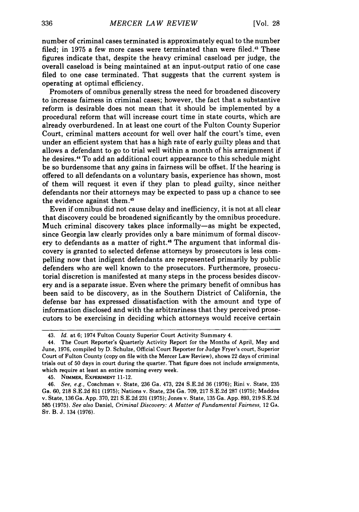number of criminal cases terminated is approximately equal to the number filed; in 1975 a few more cases were terminated than were filed.<sup>43</sup> These figures indicate that, despite the heavy criminal caseload per judge, the overall caseload is being maintained at an input-output ratio of one case filed to one case terminated. That suggests that the current system is operating at optimal efficiency.

Promoters of omnibus generally stress the need for broadened discovery to increase fairness in criminal cases; however, the fact that a substantive reform is desirable does not mean that it should be implemented by a procedural reform that will increase court time in state courts, which are already overburdened. In at least one court of the Fulton County Superior Court, criminal matters account for well over half the court's time, even under an efficient system that has a high rate of early guilty pleas and that allows a defendant to go to trial well within a month of his arraignment if he desires." To add an additional court appearance to this schedule might be so burdensome that any gains in fairness will be offset. If the hearing is offered to all defendants on a voluntary basis, experience has shown, most of them will request it even if they plan to plead guilty, since neither defendants nor their attorneys may be expected to pass up a chance to see the evidence against them.<sup>45</sup>

Even if omnibus did not cause delay and inefficiency, it is not at all clear that discovery could be broadened significantly by the omnibus procedure. Much criminal discovery takes place informally-as might be expected, since Georgia law clearly provides only a bare minimum of formal discovery to defendants as a matter of right.<sup>46</sup> The argument that informal discovery is granted to selected defense attorneys by prosecutors is less compelling now that indigent defendants are represented primarily by public defenders who are well known to the prosecutors. Furthermore, prosecutorial discretion is manifested at many steps in the process besides discovery and is a separate issue. Even where the primary benefit of omnibus has been said to be discovery, as in the Southern District of California, the defense bar has expressed dissatisfaction with the amount and type of information disclosed and with the arbitrariness that they perceived prosecutors to be exercising in deciding which attorneys would receive certain

45. NIMMER, **EXPERIMENT** 11-12.

<sup>43.</sup> *Id.* at 6; 1974 Fulton County Superior Court Activity Summary 4.

<sup>44.</sup> The Court Reporter's Quarterly Activity Report for the Months of April, May and June, 1976, compiled by D. Schulze, Official Court Reporter for Judge Fryer's court, Superior Court of Fulton County (copy on file with the Mercer Law Review), shows 22 days of criminal trials out of 50 days in court during the quarter. That figure does not include arraignments, which require at least an entire morning every week.

<sup>46.</sup> *See, e.g.,* Coachman v. State, **236** Ga. 473, 224 S.E.2d 36 **(1976);** Rini v. State, **235** Ga. 60, **218** S.E.2d 811 (1975); Nations v. State, 234 Ga. 709, **217** S.E.2d **287** (1975); Maddox v. State, **136** Ga. App. 370, 221 S.E.2d **231 (1975);** Jones v. State, **135** Ga. App. **893, 219** S.E.2d **585 (1975).** *See also* Daniel, *Criminal Discovery: A Matter of Fundamental Fairness,* <sup>12</sup>**GA. ST.** B. J. 134 (1976).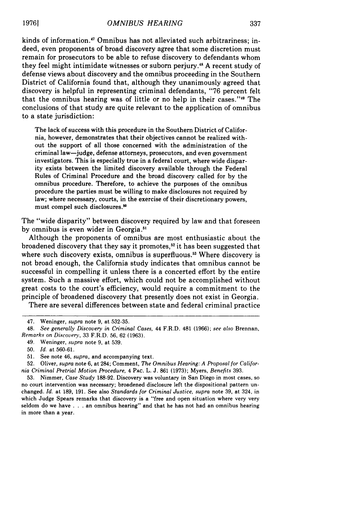kinds of information.<sup>47</sup> Omnibus has not alleviated such arbitrariness; indeed, even proponents of broad discovery agree that some discretion must remain for prosecutors to be able to refuse discovery to defendants whom they feel might intimidate witnesses or suborn perjury." A recent study of defense views about discovery and the omnibus proceeding in the Southern District of California found that, although they unanimously agreed that discovery is helpful in representing criminal defendants, "76 percent felt that the omnibus hearing was of little or no help in their cases."<sup>49</sup> The conclusions of that study are quite relevant to the application of omnibus to a state jurisdiction:

The lack of success with this procedure in the Southern District of California, however, demonstrates that their objectives cannot be realized without the support of all those concerned with the administration of the criminal law-judge, defense attorneys, prosecutors, and even government investigators. This is especially true in a federal court, where wide disparity exists between the limited discovery available through the Federal Rules of Criminal Procedure and the broad discovery called for by the omnibus procedure. Therefore, to achieve the purposes of the omnibus procedure the parties must be willing to make disclosures not required by law; where necessary, courts, in the exercise of their discretionary powers, must compel such disclosures."

The "wide disparity" between discovery required by law and that foreseen by omnibus is even wider in Georgia.<sup>51</sup>

Although the proponents of omnibus are most enthusiastic about the broadened discovery that they say it promotes, 52 it has been suggested that where such discovery exists, omnibus is superfluous.<sup>53</sup> Where discovery is not broad enough, the California study indicates that omnibus cannot be successful in compelling it unless there is a concerted effort by the entire system. Such a massive effort, which could not be accomplished without great costs to the court's efficiency, would require a commitment to the principle of broadened discovery that presently does not exist in Georgia.

There are several differences between state and federal criminal practice

49. Weninger, supra note 9, at 539.

51. See note 46, *supra,* and accompanying text.

<sup>47.</sup> Weninger, *supra* note 9, at 532-35.

<sup>48.</sup> *See generally Discovery in Criminal Cases,* 44 F.R.D. 481 (1966); *see also* Brennan, *Remarks on Discovery,* 33 F.R.D. 56, 62 (1963).

<sup>50.</sup> Id. at 560-61.

<sup>52.</sup> Oliver, *supra* note 6, at 284; Comment, *The Omnibus Hearing: A Proposal for California Criminal Pretrial Motion Procedure,* 4 PAc. L. J. 861 (1973); Myers, *Benefits* 393.

<sup>53.</sup> Nimmer, *Case Study* 188-92. Discovery was voluntary in San Diego in most cases, so no court intervention was necessary; broadened disclosure left the dispositional pattern unchanged. *Id.* at 189, 191. See also *Standards for Criminal Justice, supra* note 39, at 324, in which Judge Spears remarks that discovery is a "free and open situation where very very seldom do we have . . . an omnibus hearing" and that he has not had an omnibus hearing in more than a year.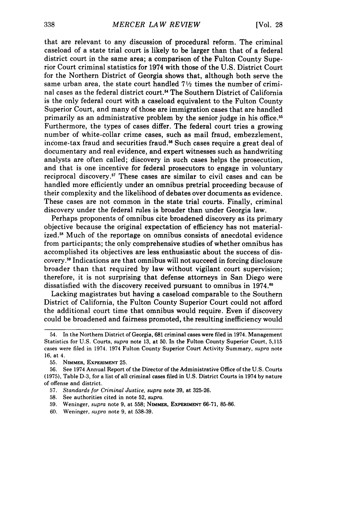that are relevant to any discussion of procedural reform. The criminal caseload of a state trial court is likely to be larger than that of a federal district court in the same area; a comparison of the Fulton County Superior Court criminal statistics for 1974 with those of the U.S. District Court for the Northern District of Georgia shows that, although both serve the same urban area, the state court handled **71/2** times the number of criminal cases as the federal district court.<sup>54</sup> The Southern District of California is the only federal court with a caseload equivalent to the Fulton County Superior Court, and many of those are immigration cases that are handled primarily as an administrative problem by the senior judge in his office.55 Furthermore, the types of cases differ. The federal court tries a growing number of white-collar crime cases, such as mail fraud, embezzlement, income-tax fraud and securities fraud.<sup>56</sup> Such cases require a great deal of documentary and real evidence, and expert witnesses such as handwriting analysts are often called; discovery in such cases helps the prosecution, and that is one incentive for federal prosecutors to engage in voluntary reciprocal discovery.<sup>57</sup> These cases are similar to civil cases and can be handled more efficiently under an omnibus pretrial proceeding because of their complexity and the likelihood of debates over documents as evidence. These cases are not common in the state trial courts. Finally, criminal discovery under the federal rules is broader than under Georgia law.

Perhaps proponents of omnibus cite broadened discovery as its primary objective because the original expectation of efficiency has not materialized.<sup>58</sup> Much of the reportage on omnibus consists of anecdotal evidence from participants; the only comprehensive studies of whether omnibus has accomplished its objectives are less enthusiastic about the success of discovery.59 Indications are that omnibus will not succeed in forcing disclosure broader than that required by law without vigilant court supervision; therefore, it is not surprising that defense attorneys in San Diego were dissatisfied with the discovery received pursuant to omnibus in 1974.<sup>60</sup>

Lacking magistrates but having a caseload comparable to the Southern District of California, the Fulton County Superior Court could not afford the additional court time that omnibus would require. Even if discovery could be broadened and fairness promoted, the resulting inefficiency would

- 57. *Standards for Criminal Justice, supra* note **39,** at **325-26.**
- 58. See authorities cited in note **52,** *supra.*
- 59. Weninger, *supra* note **9,** at 558; **NIMMER,** EXPERIMENT 66-71, 85-86.
- 60. Weninger, *supra* note **9,** at 538-39.

<sup>54.</sup> In the Northern District of Georgia, 681 criminal cases were filed in 1974. Management Statistics for U.S. Courts, *supra* note 13, at 50. In the Fulton County Superior Court, 5,115 cases were filed in 1974. 1974 Fulton County Superior Court Activity Summary, *supra* note 16, at 4.

<sup>55.</sup> NIMMER, **EXPERIMENT** 25.

<sup>56.</sup> See 1974 Annual Report of the Director of the Administrative Office of the U.S. Courts **(1975),** Table D-3, for a list of all criminal cases filed in U.S. District Courts in 1974 by nature of offense and district.